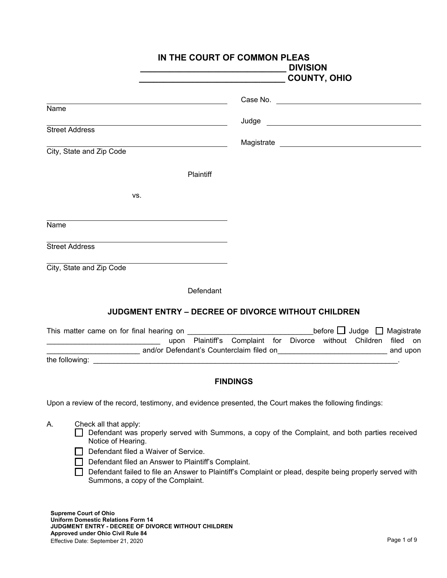|                                                                                                                                                                                       | IN THE COURT OF COMMON PLEAS<br><b>DIVISION</b>                                                                                                                                                                                                                                                                                                                                                                                                       |
|---------------------------------------------------------------------------------------------------------------------------------------------------------------------------------------|-------------------------------------------------------------------------------------------------------------------------------------------------------------------------------------------------------------------------------------------------------------------------------------------------------------------------------------------------------------------------------------------------------------------------------------------------------|
|                                                                                                                                                                                       | <b>COUNTY, OHIO</b>                                                                                                                                                                                                                                                                                                                                                                                                                                   |
|                                                                                                                                                                                       |                                                                                                                                                                                                                                                                                                                                                                                                                                                       |
| Name                                                                                                                                                                                  |                                                                                                                                                                                                                                                                                                                                                                                                                                                       |
| <b>Street Address</b>                                                                                                                                                                 | Judge <b>Service Service Service Service Service Service Service Service Service Service Service Service Service Service Service Service Service Service Service Service Service Service Service Service Service Service Service</b>                                                                                                                                                                                                                  |
| City, State and Zip Code                                                                                                                                                              |                                                                                                                                                                                                                                                                                                                                                                                                                                                       |
| Plaintiff                                                                                                                                                                             |                                                                                                                                                                                                                                                                                                                                                                                                                                                       |
| VS.                                                                                                                                                                                   |                                                                                                                                                                                                                                                                                                                                                                                                                                                       |
| Name                                                                                                                                                                                  |                                                                                                                                                                                                                                                                                                                                                                                                                                                       |
| <u> 1989 - Johann Stoff, Amerikaansk politiker († 1908)</u><br><b>Street Address</b>                                                                                                  |                                                                                                                                                                                                                                                                                                                                                                                                                                                       |
| City, State and Zip Code                                                                                                                                                              |                                                                                                                                                                                                                                                                                                                                                                                                                                                       |
| Defendant                                                                                                                                                                             |                                                                                                                                                                                                                                                                                                                                                                                                                                                       |
|                                                                                                                                                                                       | JUDGMENT ENTRY - DECREE OF DIVORCE WITHOUT CHILDREN                                                                                                                                                                                                                                                                                                                                                                                                   |
|                                                                                                                                                                                       | This matter came on for final hearing on $\frac{1}{\sqrt{1-\frac{1}{2}}\sqrt{1-\frac{1}{2}}\sqrt{1-\frac{1}{2}}\sqrt{1-\frac{1}{2}}\sqrt{1-\frac{1}{2}}\sqrt{1-\frac{1}{2}}\sqrt{1-\frac{1}{2}}\sqrt{1-\frac{1}{2}}\sqrt{1-\frac{1}{2}}\sqrt{1-\frac{1}{2}}\sqrt{1-\frac{1}{2}}\sqrt{1-\frac{1}{2}}\sqrt{1-\frac{1}{2}}\sqrt{1-\frac{1}{2}}\sqrt{1-\frac{1}{2}}\sqrt{1-\frac{1}{$<br>upon Plaintiff's Complaint for Divorce without Children filed on |
|                                                                                                                                                                                       |                                                                                                                                                                                                                                                                                                                                                                                                                                                       |
|                                                                                                                                                                                       |                                                                                                                                                                                                                                                                                                                                                                                                                                                       |
|                                                                                                                                                                                       | <b>FINDINGS</b>                                                                                                                                                                                                                                                                                                                                                                                                                                       |
| Upon a review of the record, testimony, and evidence presented, the Court makes the following findings:                                                                               |                                                                                                                                                                                                                                                                                                                                                                                                                                                       |
| Check all that apply:<br>А.<br>Notice of Hearing.<br>Defendant filed a Waiver of Service.<br>Defendant filed an Answer to Plaintiff's Complaint.<br>Summons, a copy of the Complaint. | Defendant was properly served with Summons, a copy of the Complaint, and both parties received<br>Defendant failed to file an Answer to Plaintiff's Complaint or plead, despite being properly served with                                                                                                                                                                                                                                            |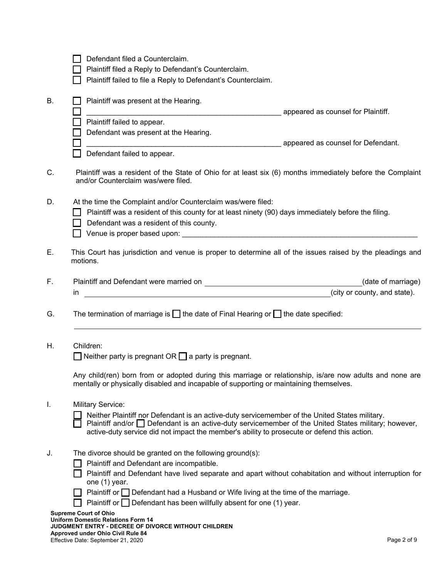| Defendant filed a Counterclaim.                                                                                                                                                                                                                                                                     |
|-----------------------------------------------------------------------------------------------------------------------------------------------------------------------------------------------------------------------------------------------------------------------------------------------------|
| Plaintiff filed a Reply to Defendant's Counterclaim.                                                                                                                                                                                                                                                |
| Plaintiff failed to file a Reply to Defendant's Counterclaim.                                                                                                                                                                                                                                       |
|                                                                                                                                                                                                                                                                                                     |
| Plaintiff was present at the Hearing.                                                                                                                                                                                                                                                               |
| appeared as counsel for Plaintiff.                                                                                                                                                                                                                                                                  |
| Plaintiff failed to appear.                                                                                                                                                                                                                                                                         |
| Defendant was present at the Hearing.                                                                                                                                                                                                                                                               |
|                                                                                                                                                                                                                                                                                                     |
|                                                                                                                                                                                                                                                                                                     |
| Defendant failed to appear.                                                                                                                                                                                                                                                                         |
| Plaintiff was a resident of the State of Ohio for at least six (6) months immediately before the Complaint<br>and/or Counterclaim was/were filed.                                                                                                                                                   |
| At the time the Complaint and/or Counterclaim was/were filed:                                                                                                                                                                                                                                       |
| Plaintiff was a resident of this county for at least ninety (90) days immediately before the filing.<br>H                                                                                                                                                                                           |
| Defendant was a resident of this county.                                                                                                                                                                                                                                                            |
|                                                                                                                                                                                                                                                                                                     |
| Venue is proper based upon: <b>All any of the contract of the contract of the contract of the contract of the contract of the contract of the contract of the contract of the contract of the contract of the contract of the co</b>                                                                |
| This Court has jurisdiction and venue is proper to determine all of the issues raised by the pleadings and<br>motions.                                                                                                                                                                              |
| (date of marriage)                                                                                                                                                                                                                                                                                  |
| (city or county, and state).<br><u> 1980 - Jan Samuel Barbara, margaret e populari e populari e populari e populari e populari e populari e popu</u><br>ın                                                                                                                                          |
|                                                                                                                                                                                                                                                                                                     |
|                                                                                                                                                                                                                                                                                                     |
| The termination of marriage is $\Box$ the date of Final Hearing or $\Box$ the date specified:                                                                                                                                                                                                       |
|                                                                                                                                                                                                                                                                                                     |
|                                                                                                                                                                                                                                                                                                     |
| Children:                                                                                                                                                                                                                                                                                           |
|                                                                                                                                                                                                                                                                                                     |
| $\Box$ Neither party is pregnant OR $\Box$ a party is pregnant.                                                                                                                                                                                                                                     |
| Any child(ren) born from or adopted during this marriage or relationship, is/are now adults and none are<br>mentally or physically disabled and incapable of supporting or maintaining themselves.                                                                                                  |
|                                                                                                                                                                                                                                                                                                     |
| <b>Military Service:</b>                                                                                                                                                                                                                                                                            |
| Neither Plaintiff nor Defendant is an active-duty servicemember of the United States military.<br>Plaintiff and/or Defendant is an active-duty servicemember of the United States military; however,<br>active-duty service did not impact the member's ability to prosecute or defend this action. |
| The divorce should be granted on the following ground(s):                                                                                                                                                                                                                                           |
|                                                                                                                                                                                                                                                                                                     |
| Plaintiff and Defendant are incompatible.<br>Plaintiff and Defendant have lived separate and apart without cohabitation and without interruption for<br>one (1) year.                                                                                                                               |
| Plaintiff or <i>Defendant had a Husband or Wife living at the time of the marriage.</i>                                                                                                                                                                                                             |
| Plaintiff or $\Box$ Defendant has been willfully absent for one (1) year.                                                                                                                                                                                                                           |
| <b>Supreme Court of Ohio</b>                                                                                                                                                                                                                                                                        |
| <b>Uniform Domestic Relations Form 14</b>                                                                                                                                                                                                                                                           |
| <b>JUDGMENT ENTRY - DECREE OF DIVORCE WITHOUT CHILDREN</b><br>Approved under Ohio Civil Rule 84<br>Page 2 of 9<br>Effective Date: September 21, 2020                                                                                                                                                |
|                                                                                                                                                                                                                                                                                                     |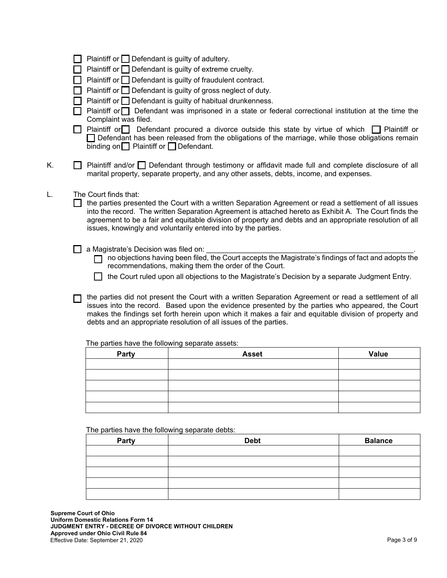|  | $\Box$ Plaintiff or $\Box$ Defendant is guilty of adultery. |  |  |
|--|-------------------------------------------------------------|--|--|
|  |                                                             |  |  |

 $\Box$  Plaintiff or  $\Box$  Defendant is guilty of extreme cruelty.

- $\Box$  Plaintiff or  $\Box$  Defendant is guilty of fraudulent contract.
- **Plaintiff or**  $\Box$  **Defendant is guilty of gross neglect of duty.**
- $\Box$  Plaintiff or  $\Box$  Defendant is guilty of habitual drunkenness.

 $\Box$  Plaintiff or  $\Box$  Defendant was imprisoned in a state or federal correctional institution at the time the Complaint was filed.

**Plaintiff or Defendant procured a divorce outside this state by virtue of which Plaintiff or** Defendant has been released from the obligations of the marriage, while those obligations remain binding on  $\Box$  Plaintiff or  $\Box$  Defendant.

K. **I** Plaintiff and/or Defendant through testimony or affidavit made full and complete disclosure of all marital property, separate property, and any other assets, debts, income, and expenses.

L. The Court finds that:

 the parties presented the Court with a written Separation Agreement or read a settlement of all issues into the record. The written Separation Agreement is attached hereto as Exhibit A. The Court finds the agreement to be a fair and equitable division of property and debts and an appropriate resolution of all issues, knowingly and voluntarily entered into by the parties.

 $\Box$  a Magistrate's Decision was filed on:

 $\Box$  no objections having been filed, the Court accepts the Magistrate's findings of fact and adopts the recommendations, making them the order of the Court.

the Court ruled upon all objections to the Magistrate's Decision by a separate Judgment Entry.

T the parties did not present the Court with a written Separation Agreement or read a settlement of all issues into the record. Based upon the evidence presented by the parties who appeared, the Court makes the findings set forth herein upon which it makes a fair and equitable division of property and debts and an appropriate resolution of all issues of the parties.

The parties have the following separate assets:

| Party | <b>Asset</b> | Value |
|-------|--------------|-------|
|       |              |       |
|       |              |       |
|       |              |       |
|       |              |       |
|       |              |       |

The parties have the following separate debts:

| Party | <b>Debt</b> | <b>Balance</b> |
|-------|-------------|----------------|
|       |             |                |
|       |             |                |
|       |             |                |
|       |             |                |
|       |             |                |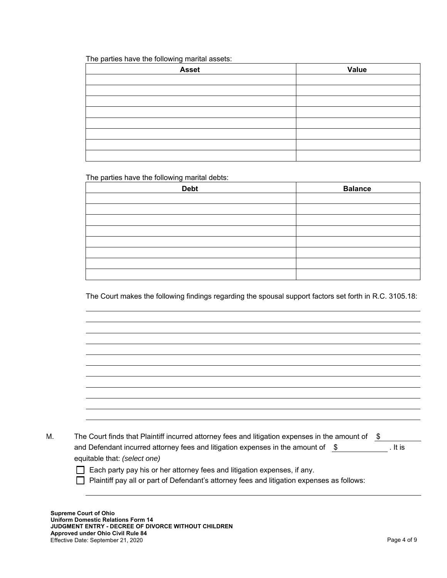The parties have the following marital assets:

| <b>Asset</b> | Value |
|--------------|-------|
|              |       |
|              |       |
|              |       |
|              |       |
|              |       |
|              |       |
|              |       |
|              |       |

The parties have the following marital debts:

| <b>Debt</b> | <b>Balance</b> |
|-------------|----------------|
|             |                |
|             |                |
|             |                |
|             |                |
|             |                |
|             |                |
|             |                |
|             |                |

The Court makes the following findings regarding the spousal support factors set forth in R.C. 3105.18:

| М. | The Court finds that Plaintiff incurred attorney fees and litigation expenses in the amount of $\$$ |  |         |
|----|-----------------------------------------------------------------------------------------------------|--|---------|
|    | and Defendant incurred attorney fees and litigation expenses in the amount of $$$                   |  | . It is |
|    | equitable that: (select one)                                                                        |  |         |

Each party pay his or her attorney fees and litigation expenses, if any.

Plaintiff pay all or part of Defendant's attorney fees and litigation expenses as follows: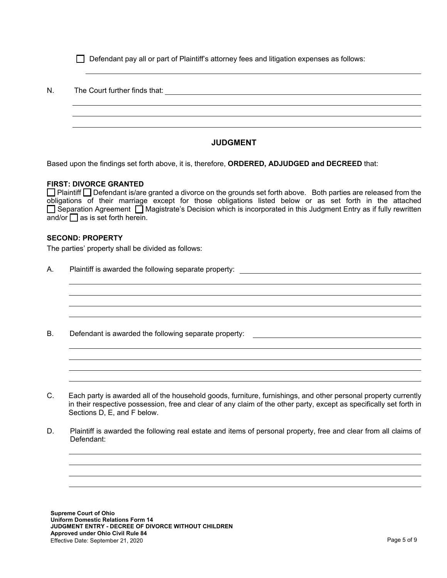|  |  |  | Defendant pay all or part of Plaintiff's attorney fees and litigation expenses as follows: |
|--|--|--|--------------------------------------------------------------------------------------------|
|  |  |  |                                                                                            |

N. The Court further finds that:

# **JUDGMENT**

Based upon the findings set forth above, it is, therefore, **ORDERED, ADJUDGED and DECREED** that:

### **FIRST: DIVORCE GRANTED**

□ Plaintiff □ Defendant is/are granted a divorce on the grounds set forth above. Both parties are released from the obligations of their marriage except for those obligations listed below or as set forth in the attached  $\Box$  Separation Agreement  $\Box$  Magistrate's Decision which is incorporated in this Judgment Entry as if fully rewritten  $\overline{a}$ nd/or $\overline{\bigcap}$  as is set forth herein.

### **SECOND: PROPERTY**

The parties' property shall be divided as follows:

- A. Plaintiff is awarded the following separate property:
- B. Defendant is awarded the following separate property:
- C. Each party is awarded all of the household goods, furniture, furnishings, and other personal property currently in their respective possession, free and clear of any claim of the other party, except as specifically set forth in Sections D, E, and F below.
- D. Plaintiff is awarded the following real estate and items of personal property, free and clear from all claims of Defendant: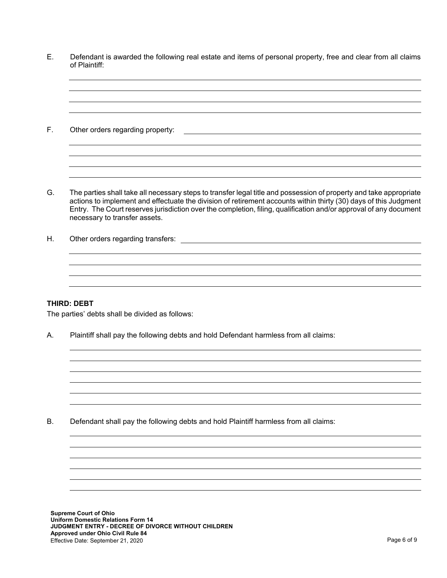E. Defendant is awarded the following real estate and items of personal property, free and clear from all claims of Plaintiff:

F. Other orders regarding property:

G. The parties shall take all necessary steps to transfer legal title and possession of property and take appropriate actions to implement and effectuate the division of retirement accounts within thirty (30) days of this Judgment Entry. The Court reserves jurisdiction over the completion, filing, qualification and/or approval of any document necessary to transfer assets.

H. Other orders regarding transfers:

### **THIRD: DEBT**

The parties' debts shall be divided as follows:

A. Plaintiff shall pay the following debts and hold Defendant harmless from all claims:

B. Defendant shall pay the following debts and hold Plaintiff harmless from all claims: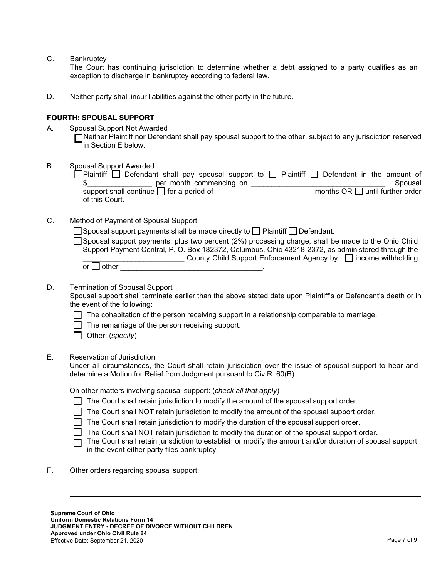C. Bankruptcy

 The Court has continuing jurisdiction to determine whether a debt assigned to a party qualifies as an exception to discharge in bankruptcy according to federal law.

D. Neither party shall incur liabilities against the other party in the future.

### **FOURTH: SPOUSAL SUPPORT**

A. Spousal Support Not Awarded

Neither Plaintiff nor Defendant shall pay spousal support to the other, subject to any jurisdiction reserved in Section E below.

B. Spousal Support Awarded  $\Box$ Plaintiff  $\Box$  Defendant shall pay spousal support to  $\Box$  Plaintiff  $\Box$  Defendant in the amount of  $\text{\$}$  er month commencing on example the set of the set of the set of the set of the set of the set of the set of the set of the set of the set of the set of the set of the set of the set of the set of the set of the set support shall continue  $\square$  for a period of \_\_\_\_\_\_\_\_\_\_\_\_\_\_\_\_\_\_\_\_\_\_\_\_\_\_\_ months OR  $\square$  until further order of this Court. C. Method of Payment of Spousal Support  $\Box$  Spousal support payments shall be made directly to  $\Box$  Plaintiff  $\Box$  Defendant. Spousal support payments, plus two percent (2%) processing charge, shall be made to the Ohio Child Support Payment Central, P. O. Box 182372, Columbus, Ohio 43218-2372, as administered through the **Example 2** County Child Support Enforcement Agency by: □ income withholding or  $\Box$  other D. Termination of Spousal Support Spousal support shall terminate earlier than the above stated date upon Plaintiff's or Defendant's death or in the event of the following:  $\Box$  The cohabitation of the person receiving support in a relationship comparable to marriage.  $\Box$  The remarriage of the person receiving support. Other: (*specify*)

# E. Reservation of Jurisdiction

Under all circumstances, the Court shall retain jurisdiction over the issue of spousal support to hear and determine a Motion for Relief from Judgment pursuant to Civ.R. 60(B).

On other matters involving spousal support: (*check all that apply*)

- $\Box$  The Court shall retain jurisdiction to modify the amount of the spousal support order.
- $\Box$  The Court shall NOT retain jurisdiction to modify the amount of the spousal support order.
- $\Box$  The Court shall retain jurisdiction to modify the duration of the spousal support order.
- The Court shall NOT retain jurisdiction to modify the duration of the spousal support order**.**
- $\Box$  The Court shall retain jurisdiction to establish or modify the amount and/or duration of spousal support in the event either party files bankruptcy.
- F. Other orders regarding spousal support: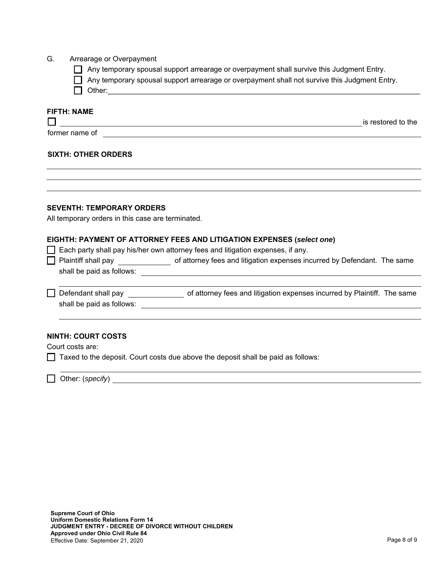### G. Arrearage or Overpayment

- Any temporary spousal support arrearage or overpayment shall survive this Judgment Entry.
- Any temporary spousal support arrearage or overpayment shall not survive this Judgment Entry.
- Other:\_\_\_\_\_\_\_\_\_\_\_\_\_\_\_\_\_\_\_\_\_\_\_\_\_\_\_\_\_\_\_\_\_\_\_\_\_\_\_\_\_\_\_\_\_\_\_\_\_\_\_\_\_\_\_\_\_\_\_\_\_\_\_\_\_\_\_\_\_\_\_\_\_\_\_\_\_

## **FIFTH: NAME**

is restored to the

former name of

## **SIXTH: OTHER ORDERS**

### **SEVENTH: TEMPORARY ORDERS**

All temporary orders in this case are terminated.

#### **EIGHTH: PAYMENT OF ATTORNEY FEES AND LITIGATION EXPENSES (***select one***)**

 $\Box$  Each party shall pay his/her own attorney fees and litigation expenses, if any.

| $\Box$ Plaintiff shall pay | of attorney fees and litigation expenses incurred by Defendant. The same |  |
|----------------------------|--------------------------------------------------------------------------|--|
| shall be paid as follows:  |                                                                          |  |

Defendant shall pay **Defendant shall pay** of attorney fees and litigation expenses incurred by Plaintiff. The same shall be paid as follows:

<u> 1989 - Johann Stoff, fransk politik (d. 1989)</u>

### **NINTH: COURT COSTS**

Court costs are:

 $\Box$  Taxed to the deposit. Court costs due above the deposit shall be paid as follows:

Other: (*specify*)